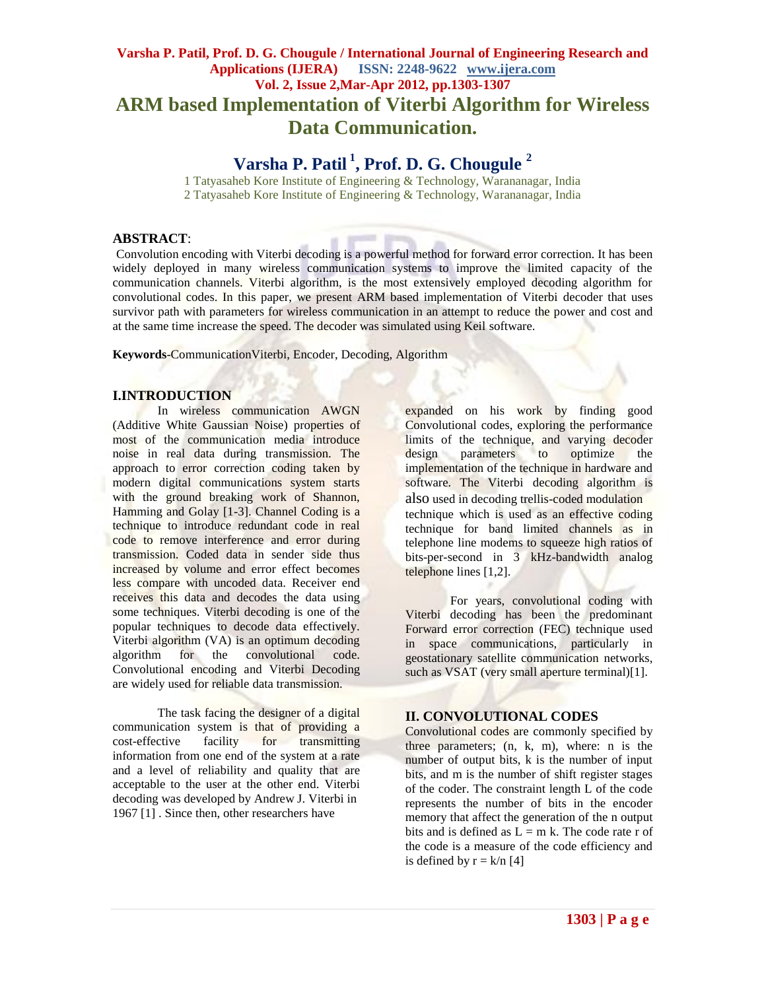# **Varsha P. Patil, Prof. D. G. Chougule / International Journal of Engineering Research and Applications (IJERA) ISSN: 2248-9622 www.ijera.com Vol. 2, Issue 2,Mar-Apr 2012, pp.1303-1307 ARM based Implementation of Viterbi Algorithm for Wireless Data Communication.**

# **Varsha P. Patil <sup>1</sup> , Prof. D. G. Chougule <sup>2</sup>**

1 Tatyasaheb Kore Institute of Engineering & Technology, Warananagar, India 2 Tatyasaheb Kore Institute of Engineering & Technology, Warananagar, India

## **ABSTRACT**:

Convolution encoding with Viterbi decoding is a powerful method for forward error correction. It has been widely deployed in many wireless communication systems to improve the limited capacity of the communication channels. Viterbi algorithm, is the most extensively employed decoding algorithm for convolutional codes. In this paper, we present ARM based implementation of Viterbi decoder that uses survivor path with parameters for wireless communication in an attempt to reduce the power and cost and at the same time increase the speed. The decoder was simulated using Keil software.

**Keywords**-CommunicationViterbi, Encoder, Decoding, Algorithm

# **I.INTRODUCTION**

In wireless communication AWGN (Additive White Gaussian Noise) properties of most of the communication media introduce noise in real data during transmission. The approach to error correction coding taken by modern digital communications system starts with the ground breaking work of Shannon, Hamming and Golay [1-3]. Channel Coding is a technique to introduce redundant code in real code to remove interference and error during transmission. Coded data in sender side thus increased by volume and error effect becomes less compare with uncoded data. Receiver end receives this data and decodes the data using some techniques. Viterbi decoding is one of the popular techniques to decode data effectively. Viterbi algorithm (VA) is an optimum decoding algorithm for the convolutional code. Convolutional encoding and Viterbi Decoding are widely used for reliable data transmission.

The task facing the designer of a digital communication system is that of providing a cost-effective facility for transmitting information from one end of the system at a rate and a level of reliability and quality that are acceptable to the user at the other end. Viterbi decoding was developed by Andrew J. Viterbi in 1967 [1] . Since then, other researchers have

expanded on his work by finding good Convolutional codes, exploring the performance limits of the technique, and varying decoder design parameters to optimize the implementation of the technique in hardware and software. The Viterbi decoding algorithm is also used in decoding trellis-coded modulation technique which is used as an effective coding technique for band limited channels as in telephone line modems to squeeze high ratios of bits-per-second in 3 kHz-bandwidth analog telephone lines [1,2].

For years, convolutional coding with Viterbi decoding has been the predominant Forward error correction (FEC) technique used in space communications, particularly in geostationary satellite communication networks, such as VSAT (very small aperture terminal)[1].

#### **II. CONVOLUTIONAL CODES**

Convolutional codes are commonly specified by three parameters; (n, k, m), where: n is the number of output bits, k is the number of input bits, and m is the number of shift register stages of the coder. The constraint length L of the code represents the number of bits in the encoder memory that affect the generation of the n output bits and is defined as  $L = m k$ . The code rate r of the code is a measure of the code efficiency and is defined by  $r = k/n$  [4]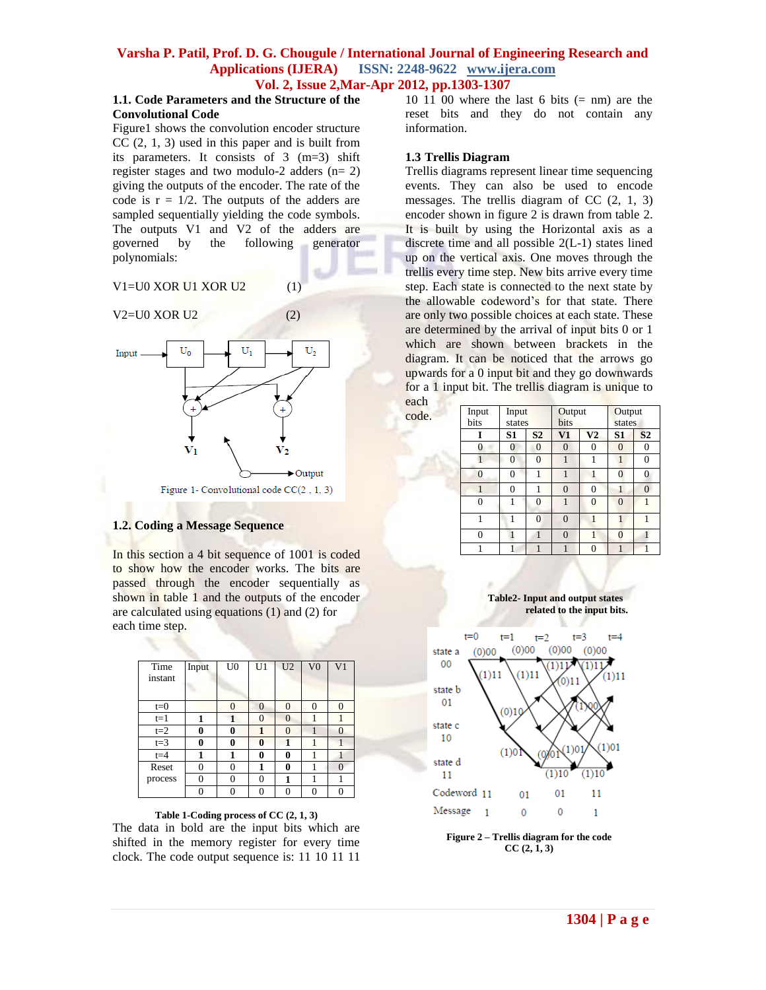### **1.1. Code Parameters and the Structure of the Convolutional Code**

Figure1 shows the convolution encoder structure  $CC(2, 1, 3)$  used in this paper and is built from its parameters. It consists of 3 (m=3) shift register stages and two modulo-2 adders  $(n= 2)$ giving the outputs of the encoder. The rate of the code is  $r = 1/2$ . The outputs of the adders are sampled sequentially yielding the code symbols. The outputs V1 and V2 of the adders are governed by the following generator polynomials:

#### $V1=U0$  XOR U1 XOR U2 (1)



#### **1.2. Coding a Message Sequence**

In this section a 4 bit sequence of 1001 is coded to show how the encoder works. The bits are passed through the encoder sequentially as shown in table 1 and the outputs of the encoder are calculated using equations (1) and (2) for each time step.

| Time    | Input | U <sub>0</sub> | U <sub>1</sub> | U <sub>2</sub> | V <sub>0</sub> | V <sub>1</sub> |
|---------|-------|----------------|----------------|----------------|----------------|----------------|
| instant |       |                |                |                |                |                |
|         |       |                |                |                |                |                |
|         |       |                |                |                |                |                |
| $t=0$   |       | $\theta$       | $\Omega$       | $\Omega$       | $\theta$       | 0              |
| $t=1$   | 1     |                | 0              | $\Omega$       |                |                |
| $t=2$   | 0     | 0              | 1              | $\Omega$       |                | $\Omega$       |
| $t=3$   | 0     | 0              | 0              |                |                |                |
| $t=4$   |       | 1              | 0              | 0              |                |                |
| Reset   | 0     | $\theta$       | 1              | 0              | 1              | $\Omega$       |
| process | 0     | $\theta$       | 0              | 1              | 1              |                |
|         |       | 0              |                |                |                |                |

#### **Table 1-Coding process of CC (2, 1, 3)**

The data in bold are the input bits which are shifted in the memory register for every time clock. The code output sequence is: 11 10 11 11

10 11 00 where the last 6 bits  $(= nm)$  are the reset bits and they do not contain any information.

#### **1.3 Trellis Diagram**

code.

Trellis diagrams represent linear time sequencing events. They can also be used to encode messages. The trellis diagram of CC (2, 1, 3) encoder shown in figure 2 is drawn from table 2. It is built by using the Horizontal axis as a discrete time and all possible 2(L-1) states lined up on the vertical axis. One moves through the trellis every time step. New bits arrive every time step. Each state is connected to the next state by the allowable codeword's for that state. There are only two possible choices at each state. These are determined by the arrival of input bits 0 or 1 which are shown between brackets in the diagram. It can be noticed that the arrows go upwards for a 0 input bit and they go downwards for a 1 input bit. The trellis diagram is unique to each

| Input<br>bits  | Input<br>states |                | Output<br>bits |                | Output<br>states |                |
|----------------|-----------------|----------------|----------------|----------------|------------------|----------------|
| I              | S <sub>1</sub>  | S <sub>2</sub> | $\bf{V1}$      | V <sub>2</sub> | S <sub>1</sub>   | S <sub>2</sub> |
| $\overline{0}$ | $\overline{0}$  | $\overline{0}$ | $\overline{0}$ | $\theta$       | $\overline{0}$   | $\theta$       |
|                | $\Omega$        | $\theta$       |                | 1              | 1                | $\Omega$       |
| $\overline{0}$ | $\theta$        | 1              | 1              |                | $\Omega$         | $\Omega$       |
|                | $\Omega$        | 1              | $\Omega$       | $\theta$       | 1                | $\Omega$       |
| 0              |                 | $\Omega$       |                | $\theta$       | $\Omega$         | 1              |
| 1              |                 | $\Omega$       | $\Omega$       | 1              |                  | 1              |
| 0              |                 |                | $\Omega$       |                | $\Omega$         |                |
| 1              | 1               | 1              |                | $\Omega$       |                  |                |





**Figure 2 – Trellis diagram for the code CC (2, 1, 3)**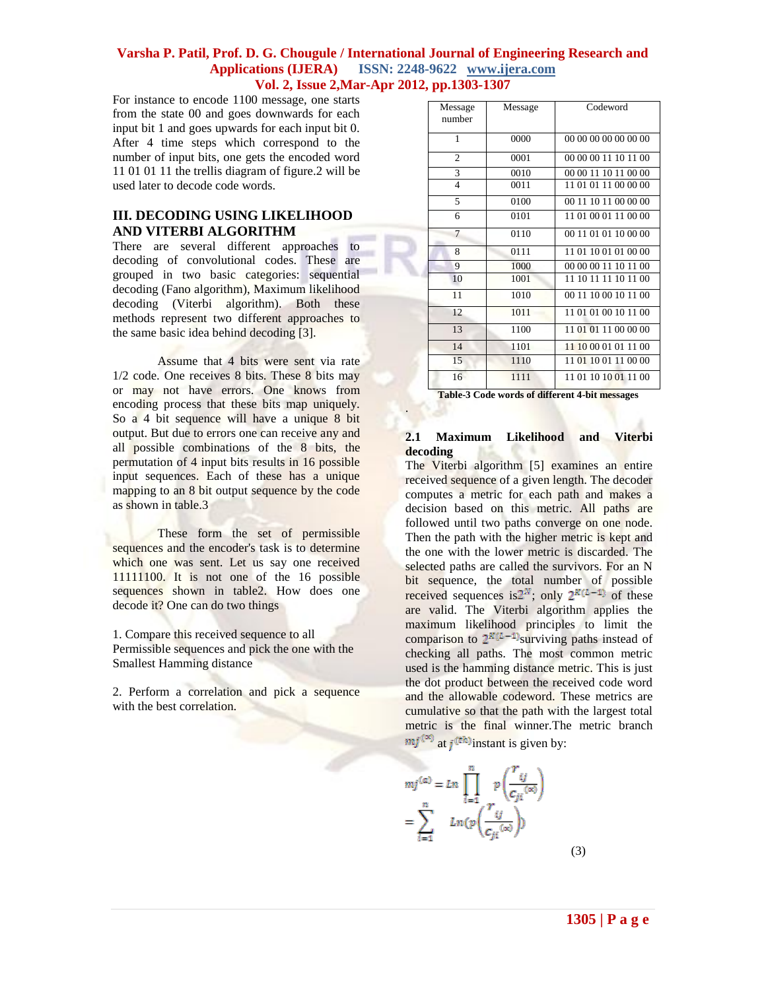.

For instance to encode 1100 message, one starts from the state 00 and goes downwards for each input bit 1 and goes upwards for each input bit 0. After 4 time steps which correspond to the number of input bits, one gets the encoded word 11 01 01 11 the trellis diagram of figure.2 will be used later to decode code words.

# **III. DECODING USING LIKELIHOOD AND VITERBI ALGORITHM**

There are several different approaches to decoding of convolutional codes. These are grouped in two basic categories: sequential decoding (Fano algorithm), Maximum likelihood decoding (Viterbi algorithm). Both these methods represent two different approaches to the same basic idea behind decoding [3].

Assume that 4 bits were sent via rate 1/2 code. One receives 8 bits. These 8 bits may or may not have errors. One knows from encoding process that these bits map uniquely. So a 4 bit sequence will have a unique 8 bit output. But due to errors one can receive any and all possible combinations of the 8 bits, the permutation of 4 input bits results in 16 possible input sequences. Each of these has a unique mapping to an 8 bit output sequence by the code as shown in table.3

These form the set of permissible sequences and the encoder's task is to determine which one was sent. Let us say one received 11111100. It is not one of the 16 possible sequences shown in table2. How does one decode it? One can do two things

1. Compare this received sequence to all Permissible sequences and pick the one with the Smallest Hamming distance

2. Perform a correlation and pick a sequence with the best correlation.

| Message<br>number | Message | Codeword             |
|-------------------|---------|----------------------|
| 1                 | 0000    | 00 00 00 00 00 00 00 |
| $\overline{2}$    | 0001    | 00 00 00 11 10 11 00 |
| 3                 | 0010    | 00 00 11 10 11 00 00 |
| $\overline{4}$    | 0011    | 11 01 01 11 00 00 00 |
| 5                 | 0100    | 00 11 10 11 00 00 00 |
| 6                 | 0101    | 11 01 00 01 11 00 00 |
| $\overline{7}$    | 0110    | 00 11 01 01 10 00 00 |
| 8                 | 0111    | 11 01 10 01 01 00 00 |
| 9                 | 1000    | 00 00 00 11 10 11 00 |
| 10                | 1001    | 11 10 11 11 10 11 00 |
| 11                | 1010    | 00 11 10 00 10 11 00 |
| 12                | 1011    | 11 01 01 00 10 11 00 |
| 13                | 1100    | 11 01 01 11 00 00 00 |
| 14                | 1101    | 11 10 00 01 01 11 00 |
| 15                | 1110    | 11 01 10 01 11 00 00 |
| 16                | 1111    | 11 01 10 10 01 11 00 |

 **Table-3 Code words of different 4-bit messages**

# **2.1 Maximum Likelihood and Viterbi decoding**

The Viterbi algorithm [5] examines an entire received sequence of a given length. The decoder computes a metric for each path and makes a decision based on this metric. All paths are followed until two paths converge on one node. Then the path with the higher metric is kept and the one with the lower metric is discarded. The selected paths are called the survivors. For an N bit sequence, the total number of possible received sequences is 2<sup>N</sup>; only  $2^{K(L-1)}$  of these are valid. The Viterbi algorithm applies the maximum likelihood principles to limit the comparison to  $2^{k(l-1)}$ surviving paths instead of checking all paths. The most common metric used is the hamming distance metric. This is just the dot product between the received code word and the allowable codeword. These metrics are cumulative so that the path with the largest total metric is the final winner.The metric branch  $mj^{(\infty)}$  at *j* (<sup>th</sup>) instant is given by:

$$
mj^{(\alpha)} = Ln \prod_{i=1}^{n} p\left(\frac{r_{ij}}{c_{ji}^{(\infty)}}\right)
$$

$$
= \sum_{i=1}^{n} Ln(p\left(\frac{r_{ij}}{c_{ji}^{(\infty)}}\right))
$$
(3)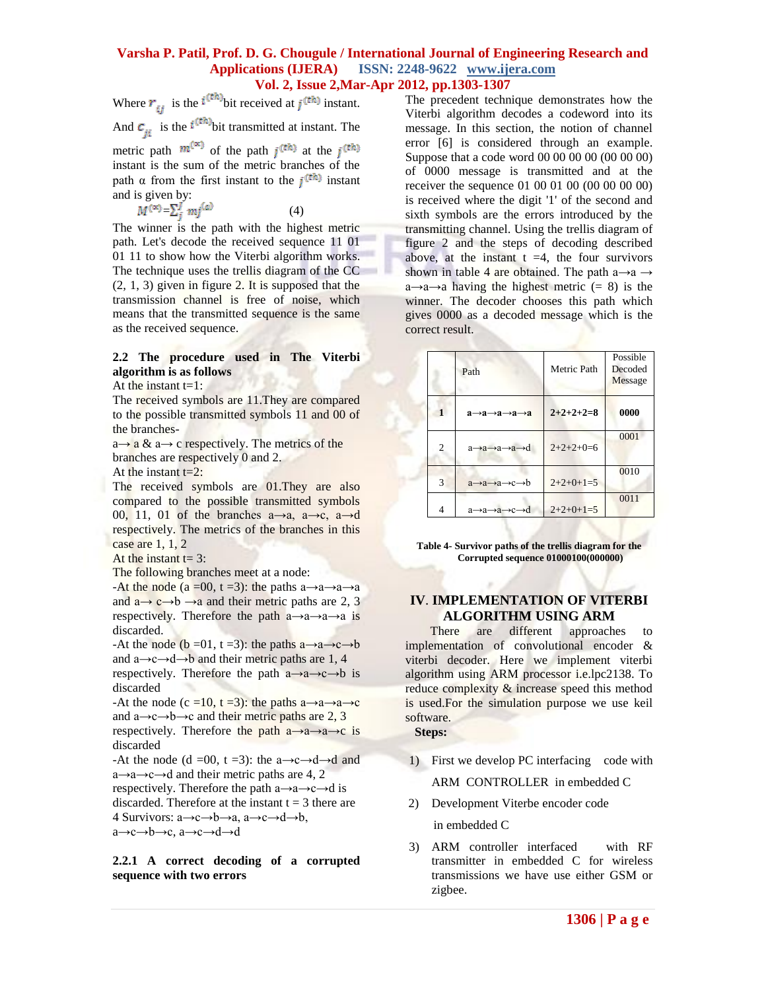Where  $r_{ij}$  is the  $i^{(\text{th})}$  bit received at  $j^{(\text{th})}$  instant. And  $c_{ii}$  is the  $t^{(\text{th})}$ bit transmitted at instant. The metric path  $m^{(\infty)}$  of the path  $j^{(th)}$  at the  $j^{(th)}$ instant is the sum of the metric branches of the path  $\alpha$  from the first instant to the  $i^{(\text{th})}$  instant and is given by:  $M^{(\infty)}\!\!=\!\!\sum_{j}^{J}mj^{(a)}\tag{4}$ 

The winner is the path with the highest metric path. Let's decode the received sequence 11 01 01 11 to show how the Viterbi algorithm works. The technique uses the trellis diagram of the CC  $(2, 1, 3)$  given in figure 2. It is supposed that the transmission channel is free of noise, which means that the transmitted sequence is the same as the received sequence.

# **2.2 The procedure used in The Viterbi algorithm is as follows**

At the instant  $t=1$ :

The received symbols are 11. They are compared to the possible transmitted symbols 11 and 00 of the branches-

 $a \rightarrow a \& a \rightarrow c$  respectively. The metrics of the branches are respectively 0 and 2.

At the instant  $t=2$ :

The received symbols are 01.They are also compared to the possible transmitted symbols 00, 11, 01 of the branches  $a\rightarrow a$ ,  $a\rightarrow c$ ,  $a\rightarrow d$ respectively. The metrics of the branches in this case are 1, 1, 2

At the instant  $t = 3$ :

The following branches meet at a node:

-At the node (a =00, t =3): the paths a $\rightarrow$ a $\rightarrow$ a $\rightarrow$ a and  $a \rightarrow c \rightarrow b \rightarrow a$  and their metric paths are 2, 3 respectively. Therefore the path  $a \rightarrow a \rightarrow a \rightarrow a$  is discarded.

-At the node ( $\mathbf{b} = 01$ ,  $\mathbf{t} = 3$ ): the paths  $\mathbf{a} \rightarrow \mathbf{a} \rightarrow \mathbf{c} \rightarrow \mathbf{b}$ and  $a \rightarrow c \rightarrow d \rightarrow b$  and their metric paths are 1, 4

respectively. Therefore the path  $a \rightarrow a \rightarrow c \rightarrow b$  is discarded

-At the node (c =10, t =3): the paths  $a \rightarrow a \rightarrow a \rightarrow c$ and  $a \rightarrow c \rightarrow b \rightarrow c$  and their metric paths are 2, 3 respectively. Therefore the path  $a \rightarrow a \rightarrow a \rightarrow c$  is discarded

-At the node (d =00, t =3): the a $\rightarrow c \rightarrow d \rightarrow d$  and  $a \rightarrow a \rightarrow c \rightarrow d$  and their metric paths are 4, 2

respectively. Therefore the path  $a \rightarrow a \rightarrow c \rightarrow d$  is discarded. Therefore at the instant  $t = 3$  there are 4 Survivors:  $a \rightarrow c \rightarrow b \rightarrow a$ ,  $a \rightarrow c \rightarrow d \rightarrow b$ ,

a→c→b→c, a→c→d→d

**2.2.1 A correct decoding of a corrupted sequence with two errors**

The precedent technique demonstrates how the Viterbi algorithm decodes a codeword into its message. In this section, the notion of channel error [6] is considered through an example. Suppose that a code word 00 00 00 00 (00 00 00) of 0000 message is transmitted and at the receiver the sequence 01 00 01 00 (00 00 00 00) is received where the digit '1' of the second and sixth symbols are the errors introduced by the transmitting channel. Using the trellis diagram of figure 2 and the steps of decoding described above, at the instant  $t = 4$ , the four survivors shown in table 4 are obtained. The path a $\rightarrow$ a  $\rightarrow$  $a \rightarrow a \rightarrow a$  having the highest metric (= 8) is the winner. The decoder chooses this path which gives 0000 as a decoded message which is the correct result.

|   | Path                                                        | Metric Path | Possible<br>Decoded<br>Message |
|---|-------------------------------------------------------------|-------------|--------------------------------|
|   | $a \rightarrow a \rightarrow a \rightarrow a \rightarrow a$ | $2+2+2+2=8$ | 0000                           |
| 2 | a→a→a→a→d                                                   | $2+2+2+0=6$ | 0001                           |
| 3 | $a \rightarrow a \rightarrow a \rightarrow c \rightarrow b$ | $2+2+0+1=5$ | 0010                           |
| 4 | a→a→a→c→d                                                   | $2+2+0+1=5$ | 0011                           |

**Table 4- Survivor paths of the trellis diagram for the Corrupted sequence 01000100(000000)**

# **IV**. **IMPLEMENTATION OF VITERBI ALGORITHM USING ARM**

 There are different approaches to implementation of convolutional encoder & viterbi decoder. Here we implement viterbi algorithm using ARM processor i.e.lpc2138. To reduce complexity & increase speed this method is used.For the simulation purpose we use keil software.

 **Steps:**

1) First we develop PC interfacing code with

ARM CONTROLLER in embedded C

2) Development Viterbe encoder code

in embedded C

3) ARM controller interfaced with RF transmitter in embedded C for wireless transmissions we have use either GSM or zigbee.